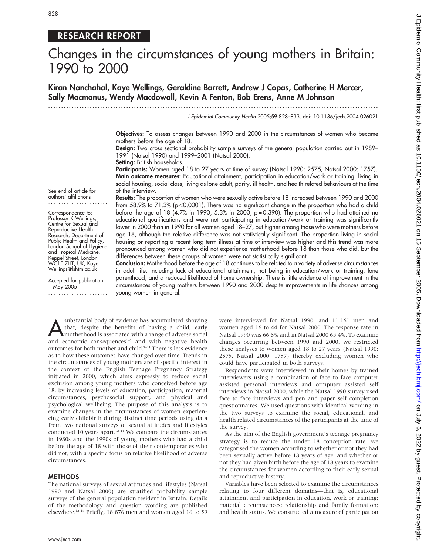# 828

# RESEARCH REPORT

# Changes in the circumstances of young mothers in Britain: 1990 to 2000

Kiran Nanchahal, Kaye Wellings, Geraldine Barrett, Andrew J Copas, Catherine H Mercer, Sally Macmanus, Wendy Macdowall, Kevin A Fenton, Bob Erens, Anne M Johnson

...............................................................................................................................

J Epidemiol Community Health 2005;59:828–833. doi: 10.1136/jech.2004.026021

Objectives: To assess changes between 1990 and 2000 in the circumstances of women who became mothers before the age of 18.

Design: Two cross sectional probability sample surveys of the general population carried out in 1989– 1991 (Natsal 1990) and 1999–2001 (Natsal 2000).

Setting: British households.

Participants: Women aged 18 to 27 years at time of survey (Natsal 1990: 2575, Natsal 2000: 1757). Main outcome measures: Educational attainment, participation in education/work or training, living in social housing, social class, living as lone adult, parity, ill health, and health related behaviours at the time of the interview.

See end of article for authors' affiliations .......................

Correspondence to: Professor K Wellings, Centre for Sexual and Reproductive Health Research, Department of Public Health and Policy, London School of Hygiene and Tropical Medicine, Keppel Street, London WC1E 7HT, UK; Kaye. Wellings@lshtm.ac.uk

Accepted for publication 1 May 2005 ....................... Results: The proportion of women who were sexually active before 18 increased between 1990 and 2000 from 58.9% to 71.3% (p<0.0001). There was no significant change in the proportion who had a child before the age of 18 (4.7% in 1990, 5.3% in 2000,  $p=0.390$ ). The proportion who had attained no educational qualifications and were not participating in education/work or training was significantly lower in 2000 than in 1990 for all women aged 18–27, but higher among those who were mothers before age 18, although the relative difference was not statistically significant. The proportion living in social housing or reporting a recent long term illness at time of interview was higher and this trend was more pronounced among women who did not experience motherhood before 18 than those who did, but the differences between these groups of women were not statistically significant.

Conclusion: Motherhood before the age of 18 continues to be related to a variety of adverse circumstances in adult life, including lack of educational attainment, not being in education/work or training, lone parenthood, and a reduced likelihood of home ownership. There is little evidence of improvement in the circumstances of young mothers between 1990 and 2000 despite improvements in life chances among young women in general.

substantial body of evidence has accumulated showing<br>that, despite the benefits of having a child, early<br>motherhood is associated with a range of adverse social<br>and economic concequences<sup>1-6</sup> and with negative health that, despite the benefits of having a child, early and economic consequences<sup>1-6</sup> and with negative health outcomes for both mother and child.7–11 There is less evidence as to how these outcomes have changed over time. Trends in the circumstances of young mothers are of specific interest in the context of the English Teenage Pregnancy Strategy initiated in 2000, which aims expressly to reduce social exclusion among young mothers who conceived before age 18, by increasing levels of education, participation, material circumstances, psychosocial support, and physical and psychological wellbeing. The purpose of this analysis is to examine changes in the circumstances of women experiencing early childbirth during distinct time periods using data from two national surveys of sexual attitudes and lifestyles conducted 10 years apart.<sup>12–14</sup> We compare the circumstances in 1980s and the 1990s of young mothers who had a child before the age of 18 with those of their contemporaries who did not, with a specific focus on relative likelihood of adverse circumstances.

## METHODS

The national surveys of sexual attitudes and lifestyles (Natsal 1990 and Natsal 2000) are stratified probability sample surveys of the general population resident in Britain. Details of the methodology and question wording are published elsewhere.12–16 Briefly, 18 876 men and women aged 16 to 59

were interviewed for Natsal 1990, and 11 161 men and women aged 16 to 44 for Natsal 2000. The response rate in Natsal 1990 was 66.8% and in Natsal 2000 65.4%. To examine changes occurring between 1990 and 2000, we restricted these analyses to women aged 18 to 27 years (Natsal 1990: 2575, Natsal 2000: 1757) thereby excluding women who could have participated in both surveys.

Respondents were interviewed in their homes by trained interviewers using a combination of face to face computer assisted personal interviews and computer assisted self interviews in Natsal 2000, while the Natsal 1990 survey used face to face interviews and pen and paper self completion questionnaires. We used questions with identical wording in the two surveys to examine the social, educational, and health related circumstances of the participants at the time of the survey.

As the aim of the English government's teenage pregnancy strategy is to reduce the under 18 conception rate, we categorised the women according to whether or not they had been sexually active before 18 years of age, and whether or not they had given birth before the age of 18 years to examine the circumstances for women according to their early sexual and reproductive history.

Variables have been selected to examine the circumstances relating to four different domains—that is, educational attainment and participation in education, work or training; material circumstances; relationship and family formation; and health status. We constructed a measure of participation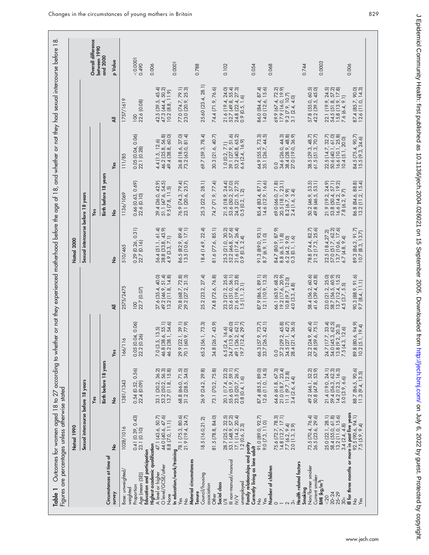|                                                                           | Natsal 1990                                                                                                     |                                                                                                                     |                                                                                   |                                                                                                                                     | Natsal 2000                                                                   |                                                                                                                          |                                                                                 |                                                                               |                                    |
|---------------------------------------------------------------------------|-----------------------------------------------------------------------------------------------------------------|---------------------------------------------------------------------------------------------------------------------|-----------------------------------------------------------------------------------|-------------------------------------------------------------------------------------------------------------------------------------|-------------------------------------------------------------------------------|--------------------------------------------------------------------------------------------------------------------------|---------------------------------------------------------------------------------|-------------------------------------------------------------------------------|------------------------------------|
|                                                                           | Sexual intercourse before 18 years                                                                              |                                                                                                                     |                                                                                   |                                                                                                                                     | Sexual intercourse before 18 years                                            |                                                                                                                          |                                                                                 |                                                                               |                                    |
|                                                                           |                                                                                                                 | Yes                                                                                                                 |                                                                                   |                                                                                                                                     |                                                                               | Yes                                                                                                                      |                                                                                 |                                                                               | Overall difference<br>between 1990 |
| Circumstances at time of                                                  |                                                                                                                 | Birth before 18 years                                                                                               |                                                                                   |                                                                                                                                     |                                                                               | Birth before 18 years                                                                                                    |                                                                                 |                                                                               | and 2000                           |
| survey                                                                    | <u>و</u>                                                                                                        | ž                                                                                                                   | Yes                                                                               | ₹                                                                                                                                   | ž                                                                             | $\frac{1}{2}$                                                                                                            | Yes                                                                             | ₹                                                                             | p Value                            |
| Base: unweighted/                                                         | 1028/1016                                                                                                       | 1381/1343                                                                                                           | $\mathsf{\breve{\circ}}$<br>166/11                                                | 2575/2475                                                                                                                           | 510/465                                                                       | 1136/1069                                                                                                                | 111/85                                                                          | 1757/1619                                                                     |                                    |
| Education and participation<br>Age (mean (SE))<br>Proportion<br>weighted  | $0.41$ $(0.39, 0.43)$<br>23.1 $(0.10)$                                                                          | 0.56<br>0.54(0.52, 0.52)                                                                                            | 0.05 (0.04, 0.06)<br>22.2 (0.26)                                                  | 22.7 (0.07)<br>100                                                                                                                  | 0.31)<br>$0.29$ (0.26, 0<br>$22.7$ (0.16)                                     | 0.66 (0.63, 0.69)<br>22.6 (0.10)                                                                                         | $0.05$ $(0.04, 0.06)$<br>22.1 $(0.28)$                                          | 22.6 (0.08)<br>$\overline{0}$                                                 | 0.0001<br>0.490                    |
| Highest academic qualification<br>O level/GCSE/other<br>A level or higher | 47.1 (43.6, 50.7)<br>44.0 (40.6, 47.6)                                                                          | 33.1 (30.2, 36.2)<br>53.2 (50.2, 56.3)<br>13.7 (11.8, 15.8)                                                         | 7.0 (3.5, 13.5)<br>46.8 (38.6, 55.1)<br>46.2 (38.1, 54.6)                         | $40,30$<br>$40,80$<br>$14,80$<br>37.6 (35.4, 4<br>49.2 (46.9, 5)<br>13.2 (11.8,                                                     | 56.4 (51.1, 61.4)<br>38.8 (33.8, 43.9)<br>4.9 (3.3, 7.1)                      | 39.4 (36.0, 42.9)<br>51.1 (47.6, 54.5)<br>9.5 (7.8, 11.5)                                                                | 4.4 (1.5, 12.6)<br>46.2 (35.8, 56.8)<br>49.4 (38.8, 60.0)                       | 42.5 (39.5, 45.4)<br>47.3 (44.4, 50.2)<br>10.2 (8.8, 11.9)                    | 0.006                              |
| None<br>In education/work/training<br>Yes<br>21.9 (19.4, 24.7)            |                                                                                                                 | 68.8 (66.0, 71.5)<br>31.2 (28.5, 34.0)                                                                              | 29.9 (22.1, 39.1)<br>70.1 (60.9, 77.9)                                            | $72.8$<br>$31.3$<br>70.8 (68.7, 2)                                                                                                  | 86.5 (82.9, 89.4)<br>13.5 (10.6, 17.1)                                        | 79.4)<br>25.7)<br>76.9 (74.3, 7<br>23.1 (20.6, 2                                                                         | 26.8 (18.6, 37.0)<br>73.2 (63.0, 81.4)                                          | 77.0 (74.7, 79.1)<br>23.0 (20.9, 25.3)                                        | 0.0001                             |
| Material circumstances<br>Council/housing<br>Tenure                       | 18.5 (16.0,21.2)                                                                                                | 26.9 (24.2, 29.8)                                                                                                   | 65.2 (56.1, 73.3)                                                                 | 25.2 (23.2, 27.4)                                                                                                                   | 18.4 (14.9, 22.4)                                                             | 25.3 (22.6, 28.1)                                                                                                        | 69.7 (59.3, 78.4)                                                               | 25.60 (23.4, 28.1)                                                            | 0.788                              |
| association<br>Other                                                      | 81.5 (78.8, 84.0)                                                                                               | 73.1 (70.2, 75.8)                                                                                                   | 34.8 (26.7, 43.9)                                                                 | 74.8 (72.6, 76.8)                                                                                                                   | 81.6 (77.6, 85.1)                                                             | 74.7 (71.9, 77.4)                                                                                                        | 30.3 (21.6, 40.7)                                                               | 74.4 (71.9, 76.6)                                                             |                                    |
| III non-manual/manual<br>unemployed<br>Social class<br>$\geq$             | 28.7 (25.2, 32.5)<br>53.1 (48.9, 57.2)<br>17.1 (14.2, 20.4)<br>1.2 (0.6, 2.3)                                   | 20.1 (17.4, 23.2)<br>55.6 (51.9, 59.1)<br>23.5 (20.7, 26.7)<br>0.8 (0.4, 1.6)                                       | 6.5 (2.4, 16.6)<br>24.7 (13.9, 40.0)<br>49.1 (36.2, 62.1)<br>19.7 (12.4, 29.7)    | 23.3 (21.2, 25.6)<br>53.6 (51.0, 56.1)<br>21.6 (19.6, 23.8)<br>1.5 (1.1, 2.1)                                                       | 25.3 (21.0, 30.2)<br>52.2 (46.8, 57.6)<br>21.6 (17.4, 26.4)<br>0.9 (0.3, 2.4) | 21.5 (18.9, 24.4)<br>53.6 (50.2, 57.0)<br>24.3 (21.5, 27.3)<br>0.5 (0.2, 1.2)                                            | 1.0 (0.2, 7.1)<br>39.1 (27.9, 51.6)<br>53.2 (40.8, 65.2)<br>6.6 (2.4, 16.9)     | 21.6 (19.4, 24.0)<br>52.7 (49.8, 55.4)<br>24.8 (22.4, 27.3)<br>0.9 (0.5, 1.6) | 0.102                              |
| Family relationships and parity<br>Currently living as lone adult         |                                                                                                                 |                                                                                                                     |                                                                                   |                                                                                                                                     |                                                                               |                                                                                                                          |                                                                                 |                                                                               | 0.054                              |
| Number of children<br>Yes<br>$\frac{1}{2}$                                | 91.0 (89.0, 92.7)<br>9.0 (7.3, 11.0)                                                                            | 87.4 (85.5, 89.0)<br>12.6 (11.0, 14.5)                                                                              | 66.3 (57.9, 73.7)<br>33.7 (26.3, 42.1)                                            | 87.9 (86.5, 89.1)<br>12.1 (10.9, 13.5)                                                                                              | 91.3 (89.0, 93.1)<br>8.7 (6.9, 11.0)                                          | 85.4 (83.4, 87.1)<br>14.6 (12.9, 16.6)                                                                                   | 64.9 (55.5, 73.3)<br>35.1 (26.7, 44.5)                                          | 86.0 (84.4, 87.4)<br>14.0 (12.6, 15.6)                                        | 0.068                              |
| Health related factors<br>$\circ$                                         | $\begin{array}{c} 14.8 \ (12.7, 17.1) \\ 7.7 \ (6.2, 9.4) \\ 2.0 \ (1.3, 2.9) \end{array}$<br>75.6 (72.7, 78.3) | $\begin{array}{c} 64.6 \ (61.8, 67.3) \\ 21.0 \ (18.7, 23.4) \\ 11.1 \ (9.7, 12.8) \\ 3.4 \ (2.6, 4.4) \end{array}$ | 37.2 (29.2, 45.8)<br>34.5 (27.1, 42.7)<br>28.4 (21.4, 36.5)<br>$\overline{0}$     | $\begin{array}{c} 66.1 \; (63.9, \; 68.2) \\ 19.2 \; (17.6, \; 20.9) \\ 10.8 \; (9.7, \; 12.0) \\ 4.0 \; (3.3, \; 4.8) \end{array}$ | 84.7 (80.9, 87.9)<br>8.8 (6.5, 11.8)<br>6.2 (4.2, 9.0)<br>0.3 (0.1, 1.6)      | $\begin{array}{c} \n69.0 \, (66.0, 71.8) \\ 20.5 \, (18.1, 23.1) \\ 8.2 \, (6.7, 9.9) \\ 2.4 \, (1.6, 3.4)\n\end{array}$ | 34.6 (26.0, 44.3)<br>38.4 (28.9, 48.8)<br>27.0 (19.0, 36.9)<br>0.0              | 69.9 (67.4, 72.2)<br>17.9 (16.0, 19.9)<br>9.2 (7.9, 10.7)<br>3.1 (2.4, 4.0)   |                                    |
| Non/former smoker<br>Current smoker<br>Smoking                            | 73.5 (70.4, 76.4)<br>26.5 (23.6, 29.6)                                                                          | 49.2 (46.1, 52.2)<br>50.8 (47.8, 53.9)                                                                              | 32.2 (24.9, 40.4)<br>67.8 (59.6, 75.1)                                            | 58.4 (56.2, 60.6)<br>41.6 (39.4, 43.8)                                                                                              | 78.8 (74.4, 82.7)<br>21.2 (17.3, 25.6)                                        | 50.2 (46.9, 53.5)<br>49.8 (46.5, 53.1)                                                                                   | 38.5 (29.3, 48.7)<br>61.5 (51.3, 70.7)                                          | 57.8 (55.0, 60.5)<br>42.2 (39.5, 45.0)                                        | 0.0003<br>0.744                    |
| $BM$ (kg/m <sup>2</sup> )<br>$20 - 24$<br>$25 - 29$<br>< 20<br>$30+$      | 25.0 (22.1, 28.1)<br>58.4 (55.0, 61.8)<br>13.2 (11.0, 15.6)<br>3.4(2.4, 4.8)                                    | 21.4 (19.0, 24.1)<br>59.4 (56.3, 62.3)<br>14.2 (12.3, 16.3)<br>5.0 (3.9, 6.6)                                       | 24.7 (17.7, 33.4)<br>54.0 (45.3, 62.5)<br>13.8 (9.2, 20.3)<br>$7.5$ $(4.3, 12.6)$ | 23.0 (21.2, 25.0)<br>58.7 (56.5, 60.9)<br>13.7 (12.4, 15.2)<br>4.5 (3.7, 5.5)                                                       | 22.5 (18.4,27.2)<br>57.0 (51.7, 62.2)<br>13.7 (10.6, 17.6)<br>6.7(4.8, 9.4)   | 21.9 (19.2, 24.9)<br>53.8 (50.4, 57.1)<br>16.6 (14.2, 19.2)<br>7.8 (6.2, 9.7)                                            | 22.5 (14.7, 32.7)<br>50.6 (40.1, 61.0)<br>16.6 (10.1, 25.8)<br>10.4 (5.1, 20.0) | 22.1 (19.9, 24.5)<br>54.5 (51.8, 57.2)<br>15.8 (13.9, 17.8)<br>7.6 (6.4, 9.1) |                                    |
| Ill for three months or more in past five years<br>$\frac{1}{2}$<br>Yes   | $92.5$ $(90.6, 94.1)$<br>7.5 $(5.9, 9.4)$                                                                       | 88.7 (86.5, 90.6)<br>11.3 (9.4, 13.5)                                                                               | 89.8 (80.6, 94.9)<br>10.2 (5.1, 19.4)                                             | 90.3 (88.9, 91.6)<br>9.7 (8.4, 11.1)                                                                                                | 89.3 (86.3, 91.7)<br>10.7 (8.3, 13.7)                                         | 86.8 (84.6, 88.8)<br>13.2 (11.2, 15.4)                                                                                   | 84.5 (75.4, 90.7)<br>15.5 (9.3, 24.6)                                           | 87.4 (85.7, 90.0)<br>12.6 (11.0, 14.3)                                        | 0.006                              |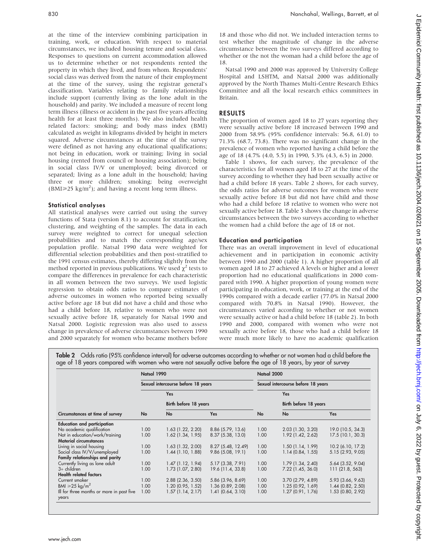at the time of the interview combining participation in training, work, or education. With respect to material circumstances, we included housing tenure and social class. Responses to questions on current accommodation allowed us to determine whether or not respondents rented the property in which they lived, and from whom. Respondents' social class was derived from the nature of their employment at the time of the survey, using the registrar general's classification. Variables relating to family relationships include support (currently living as the lone adult in the household) and parity. We included a measure of recent long term illness (illness or accident in the past five years affecting health for at least three months). We also included health related factors: smoking; and body mass index (BMI) calculated as weight in kilograms divided by height in meters squared. Adverse circumstances at the time of the survey were defined as not having any educational qualifications; not being in education, work or training; living in social housing (rented from council or housing association); being in social class IV/V or unemployed; being divorced or separated; living as a lone adult in the household; having three or more children; smoking; being overweight  $(BMI \geq 25 \text{ kg/m}^2)$ ; and having a recent long term illness.

# Statistical analyses

All statistical analyses were carried out using the survey functions of Stata (version 8.1) to account for stratification, clustering, and weighting of the samples. The data in each survey were weighted to correct for unequal selection probabilities and to match the corresponding age/sex population profile. Natsal 1990 data were weighted for differential selection probabilities and then post-stratified to the 1991 census estimates, thereby differing slightly from the method reported in previous publications. We used  $\chi^2$  tests to compare the differences in prevalence for each characteristic in all women between the two surveys. We used logistic regression to obtain odds ratios to compare estimates of adverse outcomes in women who reported being sexually active before age 18 but did not have a child and those who had a child before 18, relative to women who were not sexually active before 18, separately for Natsal 1990 and Natsal 2000. Logistic regression was also used to assess change in prevalence of adverse circumstances between 1990 and 2000 separately for women who became mothers before

18 and those who did not. We included interaction terms to test whether the magnitude of change in the adverse circumstance between the two surveys differed according to whether or the not the woman had a child before the age of 18.

Natsal 1990 and 2000 was approved by University College Hospital and LSHTM, and Natsal 2000 was additionally approved by the North Thames Multi-Centre Research Ethics Committee and all the local research ethics committees in Britain.

# RESULTS

The proportion of women aged 18 to 27 years reporting they were sexually active before 18 increased between 1990 and 2000 from 58.9% (95% confidence intervals: 56.8, 61.0) to 71.3% (68.7, 73.8). There was no significant change in the prevalence of women who reported having a child before the age of 18 (4.7% (4.0, 5.5) in 1990, 5.3% (4.3, 6.5) in 2000.

Table 1 shows, for each survey, the prevalence of the characteristics for all women aged 18 to 27 at the time of the survey according to whether they had been sexually active or had a child before 18 years. Table 2 shows, for each survey, the odds ratios for adverse outcomes for women who were sexually active before 18 but did not have child and those who had a child before 18 relative to women who were not sexually active before 18. Table 3 shows the change in adverse circumstances between the two surveys according to whether the women had a child before the age of 18 or not.

# Education and participation

There was an overall improvement in level of educational achievement and in participation in economic activity between 1990 and 2000 (table 1). A higher proportion of all women aged 18 to 27 achieved A levels or higher and a lower proportion had no educational qualifications in 2000 compared with 1990. A higher proportion of young women were participating in education, work, or training at the end of the 1990s compared with a decade earlier (77.0% in Natsal 2000 compared with 70.8% in Natsal 1990). However, the circumstances varied according to whether or not women were sexually active or had a child before 18 (table 2). In both 1990 and 2000, compared with women who were not sexually active before 18, those who had a child before 18 were much more likely to have no academic qualification

Table 2 Odds ratio (95% confidence interval) for adverse outcomes according to whether or not women had a child before the age of 18 years compared with women who were not sexually active before the age of 18 years, by year of survey

|                                                    | Natsal 1990 |                                    |                    | Natsal 2000                        |                       |                     |
|----------------------------------------------------|-------------|------------------------------------|--------------------|------------------------------------|-----------------------|---------------------|
|                                                    |             | Sexual intercourse before 18 years |                    | Sexual intercourse before 18 years |                       |                     |
|                                                    |             | Yes<br>Birth before 18 years       |                    |                                    | Yes                   |                     |
|                                                    |             |                                    |                    |                                    | Birth before 18 years |                     |
| Circumstances at time of survey                    | No          | No                                 | <b>Yes</b>         | No                                 | No                    | <b>Yes</b>          |
| <b>Education and participation</b>                 |             |                                    |                    |                                    |                       |                     |
| No academic qualification                          | 1.00        | $1.63$ (1.22, 2.20)                | 8.86 (5.79, 13.6)  | 1.00                               | $2.03$ (1.30, 3.20)   | 19.0 (10.5, 34.3)   |
| Not in education/work/training                     | 1.00        | $1.62$ (1.34, 1.95)                | 8.37(5.38, 13.0)   | 1.00                               | 1.92 (1.42, 2.62)     | 17.5(10.1, 30.3)    |
| <b>Material circumstances</b>                      |             |                                    |                    |                                    |                       |                     |
| Living in social housing                           | 1.00        | $1.63$ (1.32, 2.00)                | 8.27 (5.48, 12.49) | 1.00                               | $1.50$ (1.14, 1.99)   | 10.2 (6.10, 17.2)   |
| Social class IV/V/unemployed                       | 1.00        | $1.44$ (1.10, 1.88)                | 9.86(5.08, 19.1)   | 1.00                               | 1.14(0.84, 1.55)      | 5.15 (2.93, 9.05)   |
| Family relationships and parity                    |             |                                    |                    |                                    |                       |                     |
| Currently living as lone adult                     | 1.00        | $1.47$ (1.12, 1.94)                | 5.17 (3.38, 7.91)  | 1.00                               | $1.79$ (1.34, 2.40)   | $5.64$ (3.52, 9.04) |
| $3+$ children                                      | 1.00        | 1.73 (1.07, 2.80)                  | 19.6 (11.4, 33.8)  | 1.00                               | 7.22 (1.45, 36.0)     | 111(21.8, 563)      |
| <b>Health related factors</b>                      |             |                                    |                    |                                    |                       |                     |
| Current smoker                                     | 1.00        | $2.88$ ( $2.36$ , $3.50$ )         | 5.86 (3.96, 8.69)  | 1.00                               | $3.70$ (2.79, 4.89)   | 5.93 (3.66, 9.63)   |
| BMI $\geq 25 \text{ kg/m}^2$                       | 1.00        | $1.20$ (0.95, 1.52)                | 1.36 (0.89, 2.08)  | 1.00                               | 1.25(0.92, 1.69)      | $1.44$ (0.82, 2.50) |
| Ill for three months or more in past five<br>years | 1.00        | 1.57(1.14, 2.17)                   | 1.41(0.64, 3.10)   | 1.00                               | $1.27$ (0.91, 1.76)   | $1.53$ (0.80, 2.92) |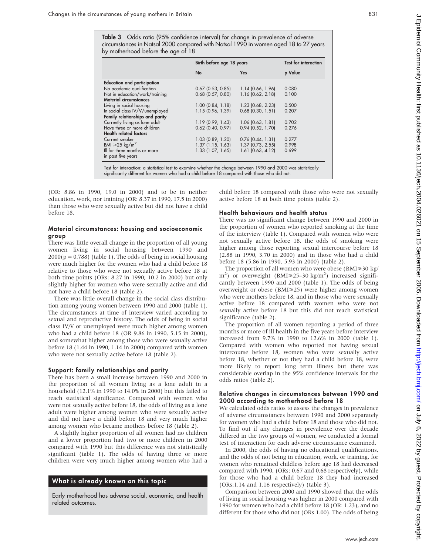|                                                                                                                | Birth before age 18 years | <b>Test for interaction</b> |         |
|----------------------------------------------------------------------------------------------------------------|---------------------------|-----------------------------|---------|
|                                                                                                                | No                        | Yes                         | p Value |
| <b>Education and participation</b>                                                                             |                           |                             |         |
| No academic qualification                                                                                      | $0.67$ (0.53, 0.85)       | 1.14(0.66, 1.96)            | 0.080   |
| Not in education/work/training                                                                                 | $0.68$ (0.57, 0.80)       | 1.16 (0.62, 2.18)           | 0.100   |
| <b>Material circumstances</b>                                                                                  |                           |                             |         |
| Living in social housing                                                                                       | $1.00$ (0.84, 1.18)       | 1.23 (0.68, 2.23)           | 0.500   |
| In social class IV/V/unemployed                                                                                | 1.15 (0.96, 1.39)         | $0.68$ (0.30, 1.51)         | 0.207   |
| Family relationships and parity                                                                                |                           |                             |         |
| Currently living as lone adult                                                                                 | 1.19(0.99, 1.43)          | 1.06(0.63, 1.81)            | 0.702   |
| Have three or more children                                                                                    | $0.62$ (0.40, 0.97)       | 0.94(0.52, 1.70)            | 0.276   |
| <b>Health related factors</b>                                                                                  |                           |                             |         |
| Current smoker                                                                                                 | 1.03 (0.89, 1.20)         | $0.76$ (0.44, 1.31)         | 0.277   |
| BMI $\geq$ 25 kg/m <sup>2</sup>                                                                                | $1.37$ (1.15, 1.63)       | $1.37$ (0.73, 2.55)         | 0.998   |
| Ill for three months or more                                                                                   | 1.33(1.07, 1.65)          | $1.61$ (0.63, 4.12)         | 0.699   |
| in past five years                                                                                             |                           |                             |         |
|                                                                                                                |                           |                             |         |
| Test for interaction: a statistical test to examine whether the change between 1990 and 2000 was statistically |                           |                             |         |

Test for interaction: a statistical test to examine whether the change between 1990 and 2000 was statistically significantly different for women who had a child before 18 compared with those who did not.

(OR: 8.86 in 1990, 19.0 in 2000) and to be in neither education, work, nor training (OR: 8.37 in 1990, 17.5 in 2000) than those who were sexually active but did not have a child before 18.

## Material circumstances: housing and socioeconomic group

There was little overall change in the proportion of all young women living in social housing between 1990 and  $2000(p = 0.788)$  (table 1). The odds of being in social housing were much higher for the women who had a child before 18 relative to those who were not sexually active before 18 at both time points (ORs: 8.27 in 1990; 10.2 in 2000) but only slightly higher for women who were sexually active and did not have a child before 18 (table 2).

There was little overall change in the social class distribution among young women between 1990 and 2000 (table 1). The circumstances at time of interview varied according to sexual and reproductive history. The odds of being in social class IV/V or unemployed were much higher among women who had a child before 18 (OR 9.86 in 1990, 5.15 in 2000), and somewhat higher among those who were sexually active before 18 (1.44 in 1990, 1.14 in 2000) compared with women who were not sexually active before 18 (table 2).

#### Support: family relationships and parity

There has been a small increase between 1990 and 2000 in the proportion of all women living as a lone adult in a household (12.1% in 1990 to 14.0% in 2000) but this failed to reach statistical significance. Compared with women who were not sexually active before 18, the odds of living as a lone adult were higher among women who were sexually active and did not have a child before 18 and very much higher among women who became mothers before 18 (table 2).

A slightly higher proportion of all women had no children and a lower proportion had two or more children in 2000 compared with 1990 but this difference was not statistically significant (table 1). The odds of having three or more children were very much higher among women who had a

# What is already known on this topic

Early motherhood has adverse social, economic, and health related outcomes.

child before 18 compared with those who were not sexually active before 18 at both time points (table 2).

## Health behaviours and health status

There was no significant change between 1990 and 2000 in the proportion of women who reported smoking at the time of the interview (table 1). Compared with women who were not sexually active before 18, the odds of smoking were higher among those reporting sexual intercourse before 18 (2.88 in 1990, 3.70 in 2000) and in those who had a child before 18 (5.86 in 1990, 5.93 in 2000) (table 2).

The proportion of all women who were obese (BMI≥30 kg/ m<sup>2</sup>) or overweight (BMI≥25–30 kg/m<sup>2</sup>) increased significantly between 1990 and 2000 (table 1). The odds of being overweight or obese (BMI≥25) were higher among women who were mothers before 18, and in those who were sexually active before 18 compared with women who were not sexually active before 18 but this did not reach statistical significance (table 2).

The proportion of all women reporting a period of three months or more of ill health in the five years before interview increased from 9.7% in 1990 to 12.6% in 2000 (table 1). Compared with women who reported not having sexual intercourse before 18, women who were sexually active before 18, whether or not they had a child before 18, were more likely to report long term illness but there was considerable overlap in the 95% confidence intervals for the odds ratios (table 2).

#### Relative changes in circumstances between 1990 and 2000 according to motherhood before 18

We calculated odds ratios to assess the changes in prevalence of adverse circumstances between 1990 and 2000 separately for women who had a child before 18 and those who did not. To find out if any changes in prevalence over the decade differed in the two groups of women, we conducted a formal test of interaction for each adverse circumstance examined.

In 2000, the odds of having no educational qualifications, and the odds of not being in education, work, or training, for women who remained childless before age 18 had decreased compared with 1990, (ORs: 0.67 and 0.68 respectively), while for those who had a child before 18 they had increased (ORs:1.14 and 1.16 respectively) (table 3).

Comparison between 2000 and 1990 showed that the odds of living in social housing was higher in 2000 compared with 1990 for women who had a child before 18 (OR: 1.23), and no different for those who did not (ORs 1.00). The odds of being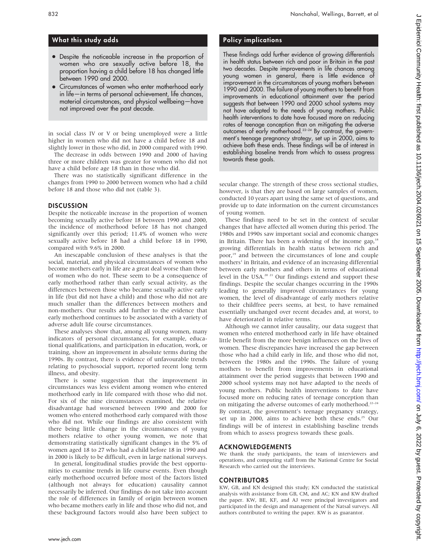# What this study adds

- Despite the noticeable increase in the proportion of women who are sexually active before 18, the proportion having a child before 18 has changed little between 1990 and 2000.
- Circumstances of women who enter motherhood early in life—in terms of personal achievement, life chances, material circumstances, and physical wellbeing—have not improved over the past decade.

in social class IV or V or being unemployed were a little higher in women who did not have a child before 18 and slightly lower in those who did, in 2000 compared with 1990.

The decrease in odds between 1990 and 2000 of having three or more children was greater for women who did not have a child before age 18 than in those who did.

There was no statistically significant difference in the changes from 1990 to 2000 between women who had a child before 18 and those who did not (table 3).

#### **DISCUSSION**

Despite the noticeable increase in the proportion of women becoming sexually active before 18 between 1990 and 2000, the incidence of motherhood before 18 has not changed significantly over this period; 11.4% of women who were sexually active before 18 had a child before 18 in 1990, compared with 9.6% in 2000.

An inescapable conclusion of these analyses is that the social, material, and physical circumstances of women who become mothers early in life are a great deal worse than those of women who do not. These seem to be a consequence of early motherhood rather than early sexual activity, as the differences between those who became sexually active early in life (but did not have a child) and those who did not are much smaller than the differences between mothers and non-mothers. Our results add further to the evidence that early motherhood continues to be associated with a variety of adverse adult life course circumstances.

These analyses show that, among all young women, many indicators of personal circumstances, for example, educational qualifications, and participation in education, work, or training, show an improvement in absolute terms during the 1990s. By contrast, there is evidence of unfavourable trends relating to psychosocial support, reported recent long term illness, and obesity.

There is some suggestion that the improvement in circumstances was less evident among women who entered motherhood early in life compared with those who did not. For six of the nine circumstances examined, the relative disadvantage had worsened between 1990 and 2000 for women who entered motherhood early compared with those who did not. While our findings are also consistent with there being little change in the circumstances of young mothers relative to other young women, we note that demonstrating statistically significant changes in the 5% of women aged 18 to 27 who had a child before 18 in 1990 and in 2000 is likely to be difficult, even in large national surveys.

In general, longitudinal studies provide the best opportunities to examine trends in life course events. Even though early motherhood occurred before most of the factors listed (although not always for education) causality cannot necessarily be inferred. Our findings do not take into account the role of differences in family of origin between women who became mothers early in life and those who did not, and these background factors would also have been subject to

# Policy implications

These findings add further evidence of growing differentials in health status between rich and poor in Britain in the past two decades. Despite improvements in life chances among young women in general, there is little evidence of improvement in the circumstances of young mothers between 1990 and 2000. The failure of young mothers to benefit from improvements in educational attainment over the period suggests that between 1990 and 2000 school systems may not have adapted to the needs of young mothers. Public health interventions to date have focused more on reducing rates of teenage conception than on mitigating the adverse outcomes of early motherhood.22–24 By contrast, the government's teenage pregnancy strategy, set up in 2000, aims to achieve both these ends. These findings will be of interest in establishing baseline trends from which to assess progress towards these goals.

secular change. The strength of these cross sectional studies, however, is that they are based on large samples of women, conducted 10 years apart using the same set of questions, and provide up to date information on the current circumstances of young women.

These findings need to be set in the context of secular changes that have affected all women during this period. The 1980s and 1990s saw important social and economic changes in Britain. There has been a widening of the income gap, $18$ growing differentials in health status between rich and poor,<sup>19</sup> and between the circumstances of lone and couple mothers<sup>1</sup> in Britain, and evidence of an increasing differential between early mothers and others in terms of educational level in the USA.20 21 Our findings extend and support these findings. Despite the secular changes occurring in the 1990s leading to generally improved circumstances for young women, the level of disadvantage of early mothers relative to their childfree peers seems, at best, to have remained essentially unchanged over recent decades and, at worst, to have deteriorated in relative terms.

Although we cannot infer causality, our data suggest that women who entered motherhood early in life have obtained little benefit from the more benign influences on the lives of women. These discrepancies have increased the gap between those who had a child early in life, and those who did not, between the 1980s and the 1990s. The failure of young mothers to benefit from improvements in educational attainment over the period suggests that between 1990 and 2000 school systems may not have adapted to the needs of young mothers. Public health interventions to date have focused more on reducing rates of teenage conception than on mitigating the adverse outcomes of early motherhood.<sup>22-24</sup> By contrast, the government's teenage pregnancy strategy, set up in 2000, aims to achieve both these ends.<sup>25</sup> Our findings will be of interest in establishing baseline trends from which to assess progress towards these goals.

# ACKNOWLEDGEMENTS

We thank the study participants, the team of interviewers and operations, and computing staff from the National Centre for Social Research who carried out the interviews.

# CONTRIBUTORS

KW, GB, and KN designed this study; KN conducted the statistical analysis with assistance from GB, CM, and AC; KN and KW drafted the paper. KW, BE, KF, and AJ were principal investigators and participated in the design and management of the Natsal surveys. All authors contributed to writing the paper. KW is as guarantor.